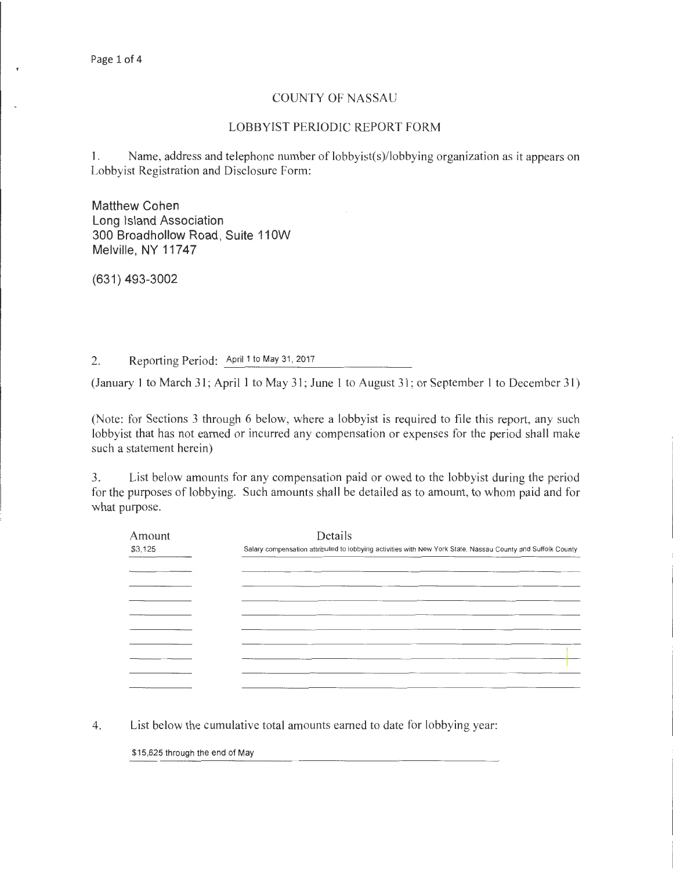## COUNTY OF NASSAU

## LOBBYIST PERIODIC REPORT FORM

I. Name, address and telephone number of lobbyist(s)/lobbying organization as it appears on Lobbyist Registration and Disclosure Form:

Matthew Cohen Long Island Association 300 Broadhollow Road, Suite 110W Melville, NY 11747

(631) 493-3002

2. Reporting Period: April 1 to May 31, 2017

(January I to March 31; April I to May 31; June I to August 31; or September I to December 31)

(Note: for Sections 3 through 6 below, where a lobbyist is required to file this report, any such lobbyist that has not earned or incurred any compensation or expenses for the period shall make such a statement herein)

3. List below amounts for any compensation paid or owed to the lobbyist during the period for the purposes of lobbying. Such amounts shall be detailed as to amount, to whom paid and for what purpose.

| Amount  | Details                                                                                                     |
|---------|-------------------------------------------------------------------------------------------------------------|
| \$3,125 | Salary compensation attributed to lobbying activities with New York State, Nassau County and Suffolk County |
|         | _______                                                                                                     |
|         |                                                                                                             |
|         |                                                                                                             |
|         | _______                                                                                                     |
|         |                                                                                                             |
|         |                                                                                                             |
|         |                                                                                                             |
|         |                                                                                                             |
|         |                                                                                                             |
|         |                                                                                                             |

4. List below the cumulative total amounts earned to date for lobbying year:

\$15,625 through the end of May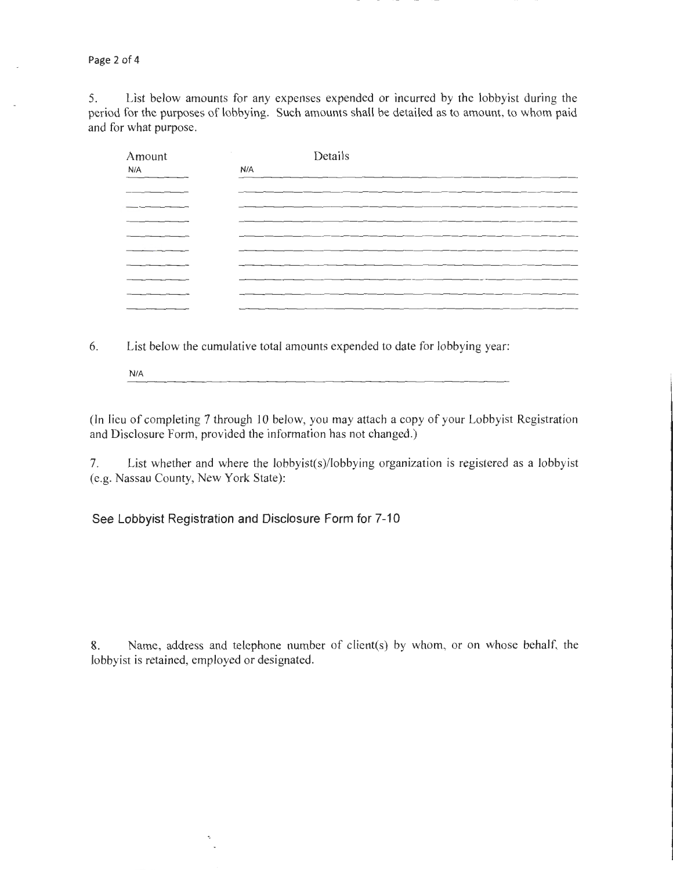Page 2 of **4** 

5. List below amounts for any expenses expended or incurred by the lobbyist during the period for the purposes of lobbying. Such amounts shall be detailed as to amount, to whom paid and for what purpose.

| Amount | Details |
|--------|---------|
| N/A    | N/A     |
|        | ______  |
|        |         |
|        |         |
|        |         |
|        |         |
|        |         |
|        |         |
|        | ______  |
|        |         |
|        |         |

6. List below the cumulative total amounts expended to date for lobbying year:

N/A

(In lieu of completing 7 through 10 below, you may attach a copy of your Lobbyist Registration and Disclosure Form, provided the information has not changed.)

7. List whether and where the lobbyist(s)/lobbying organization is registered as a lobbyist (e.g. Nassau County, New York State):

**See Lobbyist Registration and Disclosure Form for 7-10** 

8. Name, address and telephone number of client(s) by whom, or on whose behalf, the lobbyist is retained, employed or designated.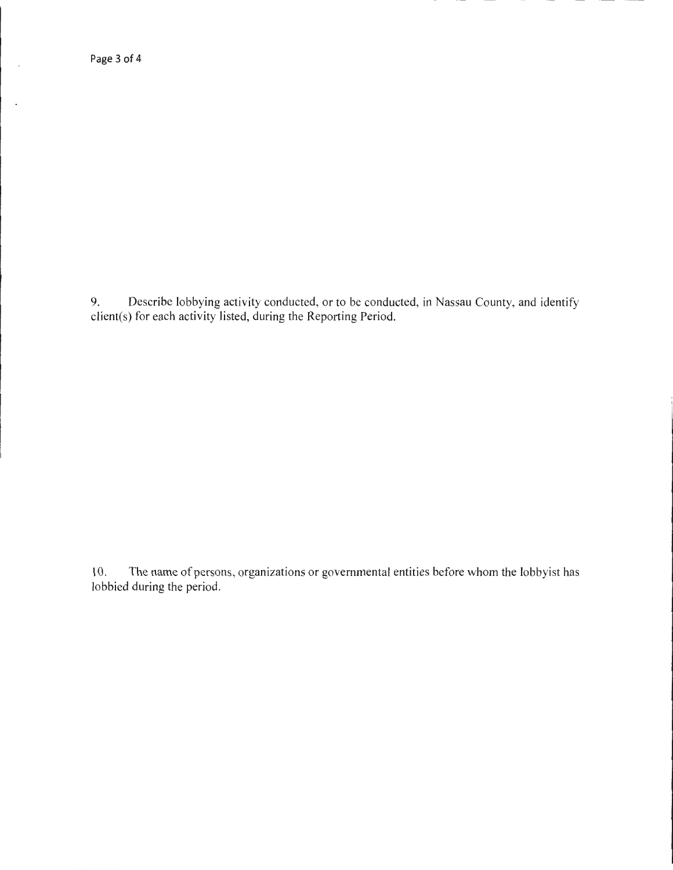Page 3 of 4

 $\mathcal{A}$ 

 $\ddot{\phantom{a}}$ 

9. Describe lobbying activity conducted, or to be conducted, in Nassau County, and identify client(s) for each activity listed, during the Reporting Period.

10. The name of persons, organizations or governmental entities before whom the lobbyist has lobbied during the period.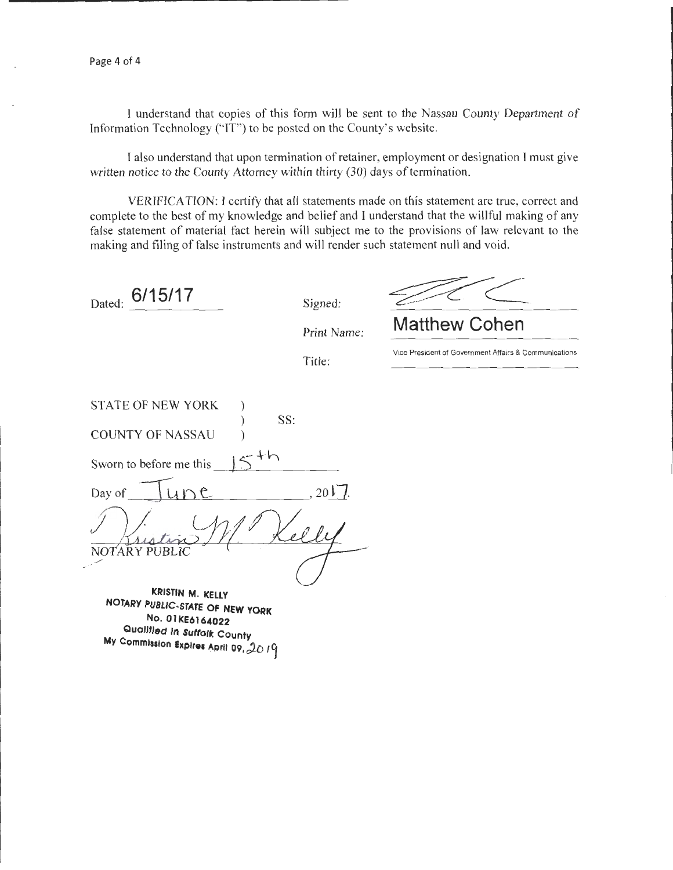Page 4 of 4

I understand that copies of this form will be sent to the Nassau County Department of Information Technology ("IT") to be posted on the County's website.

I also understand that upon termination of retainer, employment or designation I must give written notice to the County Attorney within thirty (30) days of termination.

VERIFICATION: I certify that all statements made on this statement are true, correct and complete to the best of my knowledge and belief and I understand that the willful making of any false statement of material fact herein will subject me to the provisions of law relevant to the making and filing of false instruments and will render such statement null and void.

Dated: **6/15/17** Signed:

Print Name:

Title:

**Matthew Cohen** 

Vice President of Government Affairs & Communications

STATE OF NEW YORK SS: COUNTY OF NASSAU )  $15$ Sworn to before me this  $100$ Day of  $20V$ NOTARY PUBLIC

**KRISTIN M. KELLY NOTARY PUBLIC-STATE OF NEW YORK No. 01KE6164022 Qualified In Sutrolk County**   $My$  Commission Explres April 09,  $20/9$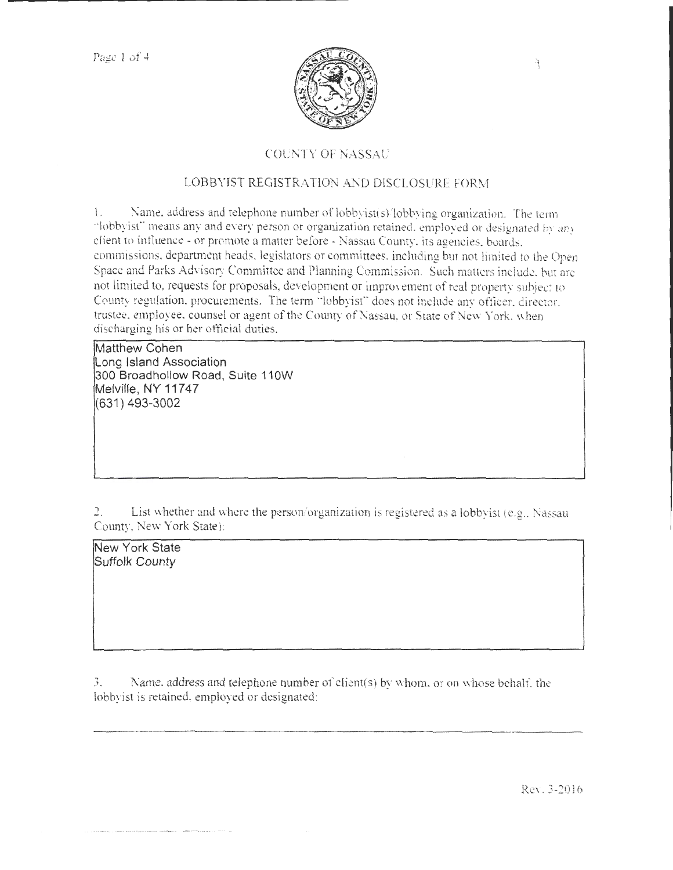

## COUNTY OF NASSAU

## LOBBYIST REGISTRATION AND DISCLOSURE FORM

 $1.$  Name. address and telephone number of lobbyist(s), lobbying organization. The term "lobbyist" means any and every person or organization retained, employed or designated by any client to intluence- or promote a matter before- Nassau County. its agencies. boards. commissions. department heads. legislators or committees. including but not limited to the Open Space and Parks Advisory Committee and Planning Commission. Such matters include, but are not limited to, requests for proposals, development or improvement of real property subject to County regulation. procurements. The term "lobbyist" does not include any officer, director. trustee, employee, counsel or agent of the County of Nassau, or State of New York. when discharging his or her ofticial duties.

Matthew Cohen Long Island Association 300 Broadhollow Road, Suite 110W Melville, NY 11747 (631 ) 493-3002

List whether and where the person/organization is registered as a lobbyist (e.g., Nassau County, New York State):

New York State Suffolk County

 $3.$  Name. address and telephone number of client(s) by whom. or on whose behalf, the lobbyist is retained. employed or designated:

ReY.3-20J6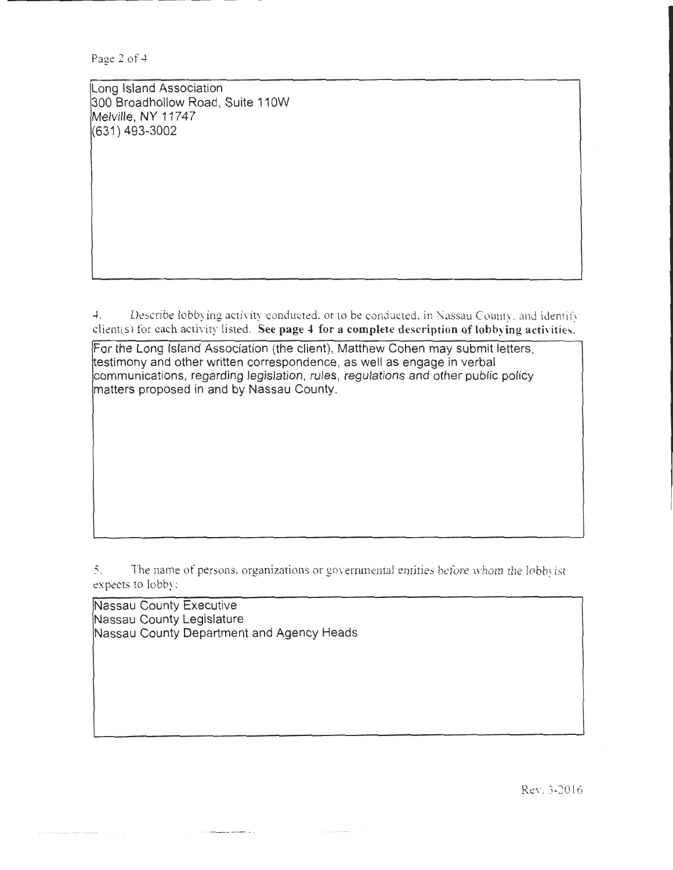Page 2 of 4

Long Island Association 300 Broadhollow Road , Suite 110W Melville, NY 11747 (631) 493-3002

4. Describe lobbying activity conducted. or to be conducted. in Nassau Couuty. and identify client(s) for each activity listed. See page 4 for a complete description of lobbying activities.

For the Long Island Association (the client), Matthew Cohen may submit letters, testimony and other written correspondence, as well as engage in verbal communications, regarding legislation, rules, regulations and other public policy matters proposed in and by Nassau County.

5. The name of persons, organizations or governmental entities before whom the lobbyist expects to lobby:

Nassau County Executive Nassau County Legislature Nassau County Department and Agency Heads

ReY. 3-2016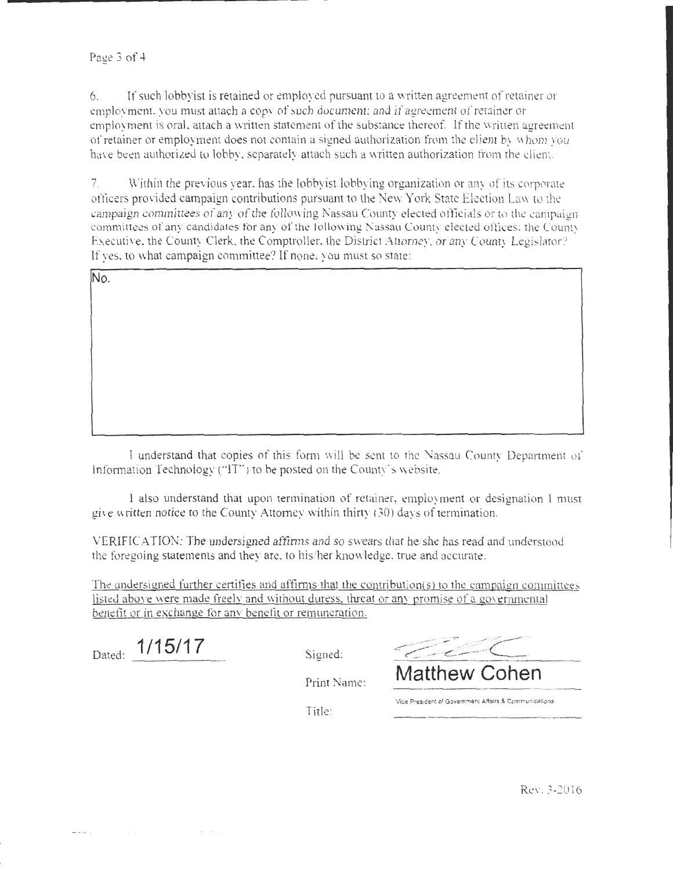6. If such lobbyist is retained or employed pursuant to a vnittcn agreement of retainer or employment, you must attach a copy of such document; and if agreement of retainer or employment is oral, attach a written statement of the substance thereof. If the written agreement of retainer or employment does not contain a signed authorization from the client by whom you have been authorized to lobby, separately attach such a written authorization from the client.

7. Vithin the previous year, has the lobbyist lobbying organization or any of its corporate officers provided campaign contributions pursuant to the New York State Election Law to the campaign committees of any of the following Nassau County elected officials or to the campaign committees of any candidates for any of the following Nassau County elected offices: the County Executive, the County Clerk, the Comptroller, the District Attorney, or any County Legislator? lf yes. to what campaign committee? If none. you must so state:

No.

I understand that copies of this form will be sent to the Nassau County Department of Information Technology ("IT") to be posted on the County's website.

I also understand that upon termination of retainer, employment or designation l must give written notice to the County Attomey within thirty (30) days of termination.

VERIFICATION: The undersigned affirms and so swears that he/she has read and understood the foregoing statements and they are, to his/her knowledge, true and accurate.

The undersigned further certifies and affirms that the contribution(s) to the campaign committees listed above were made freely and without duress, threat or any promise of a governmental benefit or in exchange for anv benefit or remuneration.

Dated:  $\frac{1/15/17}{2}$  Signed:

Print Name: **Matthew Cohen** 

**Vice Pres:dent of Govemmen! Affairs & Communications** 

Title: